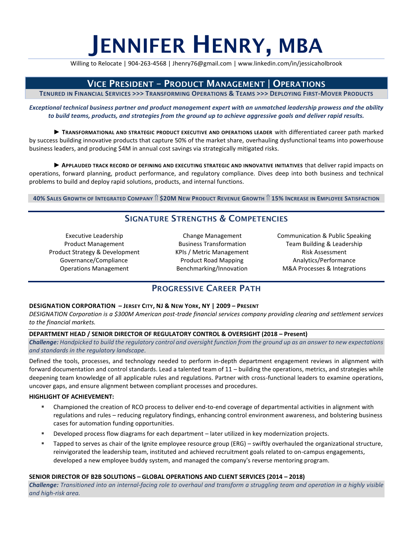# JENNIFER HENRY, MBA

Willing to Relocate | 904-263-4568 | Jhenry76@gmail.com | www.linkedin.com/in/jessicaholbrook

# VICE PRESIDENT – PRODUCT MANAGEMENT | OPERATIONS

TENURED IN FINANCIAL SERVICES >>> TRANSFORMING OPERATIONS & TEAMS >>> DEPLOYING FIRST-MOVER PRODUCTS

*Exceptional technical business partner and product management expert with an unmatched leadership prowess and the ability to build teams, products, and strategies from the ground up to achieve aggressive goals and deliver rapid results.*

► **TRANSFORMATIONAL AND STRATEGIC PRODUCT EXECUTIVE AND OPERATIONS LEADER** with differentiated career path marked by success building innovative products that capture 50% of the market share, overhauling dysfunctional teams into powerhouse business leaders, and producing \$4M in annual cost savings via strategically mitigated risks.

▶ **APPLAUDED TRACK RECORD OF DEFINING AND EXECUTING STRATEGIC AND INNOVATIVE INITIATIVES that deliver rapid impacts on** operations, forward planning, product performance, and regulatory compliance. Dives deep into both business and technical problems to build and deploy rapid solutions, products, and internal functions.

40% SALES GROWTH OF INTEGRATED COMPANY 1 \$20M NEW PRODUCT REVENUE GROWTH 1 15% INCREASE IN EMPLOYEE SATISFACTION

# SIGNATURE STRENGTHS & COMPETENCIES

Executive Leadership Product Management Product Strategy & Development Governance/Compliance Operations Management

Change Management Business Transformation KPIs / Metric Management Product Road Mapping Benchmarking/Innovation

Communication & Public Speaking Team Building & Leadership Risk Assessment Analytics/Performance M&A Processes & Integrations

# PROGRESSIVE CAREER PATH

### **DESIGNATION CORPORATION – JERSEY CITY, NJ & NEW YORK, NY | 2009 – PRESENT**

*DESIGNATION Corporation is a \$300M American post-trade financial services company providing clearing and settlement services to the financial markets.*

### **DEPARTMENT HEAD / SENIOR DIRECTOR OF REGULATORY CONTROL & OVERSIGHT (2018 – Present)**

*Challenge: Handpicked to build the regulatory control and oversight function from the ground up as an answer to new expectations and standards in the regulatory landscape.* 

Defined the tools, processes, and technology needed to perform in-depth department engagement reviews in alignment with forward documentation and control standards. Lead a talented team of 11 – building the operations, metrics, and strategies while deepening team knowledge of all applicable rules and regulations. Partner with cross-functional leaders to examine operations, uncover gaps, and ensure alignment between compliant processes and procedures.

### **HIGHLIGHT OF ACHIEVEMENT:**

- Championed the creation of RCO process to deliver end-to-end coverage of departmental activities in alignment with regulations and rules – reducing regulatory findings, enhancing control environment awareness, and bolstering business cases for automation funding opportunities.
- **EXECT** Developed process flow diagrams for each department later utilized in key modernization projects.
- Tapped to serves as chair of the Ignite employee resource group (ERG) swiftly overhauled the organizational structure, reinvigorated the leadership team, instituted and achieved recruitment goals related to on-campus engagements, developed a new employee buddy system, and managed the company's reverse mentoring program.

### **SENIOR DIRECTOR OF B2B SOLUTIONS – GLOBAL OPERATIONS AND CLIENT SERVICES (2014 – 2018)**

*Challenge: Transitioned into an internal-facing role to overhaul and transform a struggling team and operation in a highly visible and high-risk area.*